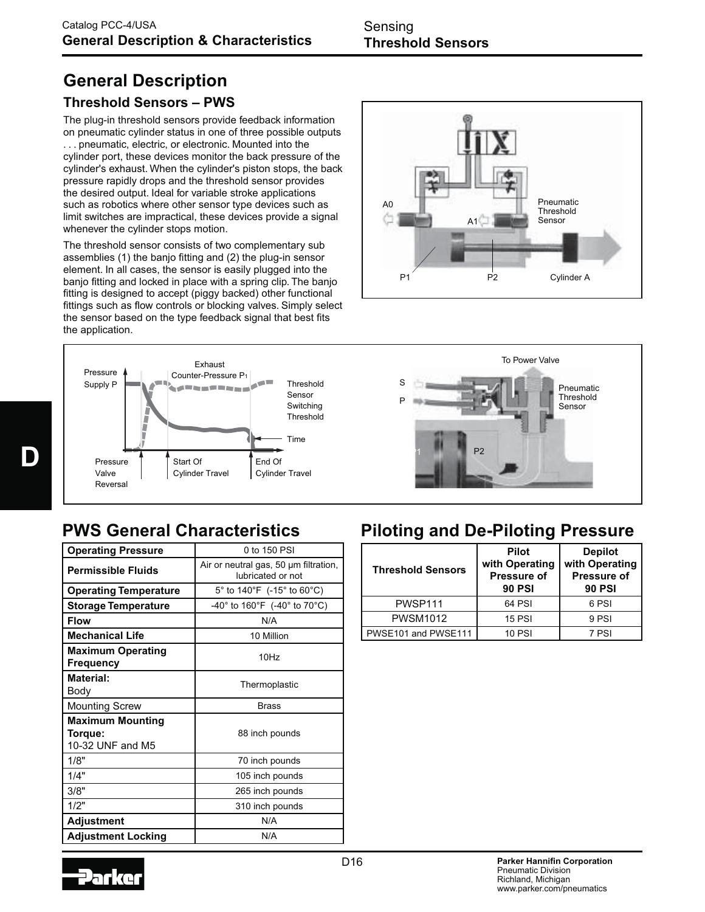# **General Description**

## **Threshold Sensors – PWS**

The plug-in threshold sensors provide feedback information on pneumatic cylinder status in one of three possible outputs . . . pneumatic, electric, or electronic. Mounted into the cylinder port, these devices monitor the back pressure of the cylinder's exhaust. When the cylinder's piston stops, the back pressure rapidly drops and the threshold sensor provides the desired output. Ideal for variable stroke applications such as robotics where other sensor type devices such as limit switches are impractical, these devices provide a signal whenever the cylinder stops motion.

The threshold sensor consists of two complementary sub assemblies (1) the banjo fitting and (2) the plug-in sensor element. In all cases, the sensor is easily plugged into the banjo fitting and locked in place with a spring clip. The banjo fitting is designed to accept (piggy backed) other functional fittings such as flow controls or blocking valves. Simply select the sensor based on the type feedback signal that best fits the application.







| <b>Operating Pressure</b>                              | $0$ to 150 PSI                                             |  |
|--------------------------------------------------------|------------------------------------------------------------|--|
| <b>Permissible Fluids</b>                              | Air or neutral gas, 50 um filtration,<br>lubricated or not |  |
| <b>Operating Temperature</b>                           | 5° to 140°F (-15° to 60°C)                                 |  |
| <b>Storage Temperature</b>                             | $-40^{\circ}$ to 160°F (-40° to 70°C)                      |  |
| <b>Flow</b>                                            | N/A                                                        |  |
| <b>Mechanical Life</b>                                 | 10 Million                                                 |  |
| <b>Maximum Operating</b><br>Frequency                  | 10Hz                                                       |  |
| <b>Material:</b><br>Body                               | Thermoplastic                                              |  |
| <b>Mounting Screw</b>                                  | <b>Brass</b>                                               |  |
| <b>Maximum Mounting</b><br>Torque:<br>10-32 UNF and M5 | 88 inch pounds                                             |  |
| 1/8"                                                   | 70 inch pounds                                             |  |
| 1/4"                                                   | 105 inch pounds                                            |  |
| 3/8"                                                   | 265 inch pounds                                            |  |
| 1/2"                                                   | 310 inch pounds                                            |  |
| <b>Adjustment</b>                                      | N/A                                                        |  |
| <b>Adjustment Locking</b>                              | N/A                                                        |  |

## **PWS General Characteristics Piloting and De-Piloting Pressure**

| <b>Threshold Sensors</b> | <b>Pilot</b><br>with Operating<br><b>Pressure of</b><br><b>90 PSI</b> | <b>Depilot</b><br>with Operating<br><b>Pressure of</b><br><b>90 PSI</b> |
|--------------------------|-----------------------------------------------------------------------|-------------------------------------------------------------------------|
| PWSP111                  | 64 PSI                                                                | 6 PSI                                                                   |
| <b>PWSM1012</b>          | <b>15 PSI</b>                                                         | 9 PSI                                                                   |
| PWSE101 and PWSE111      | <b>10 PSI</b>                                                         | 7 PSI                                                                   |

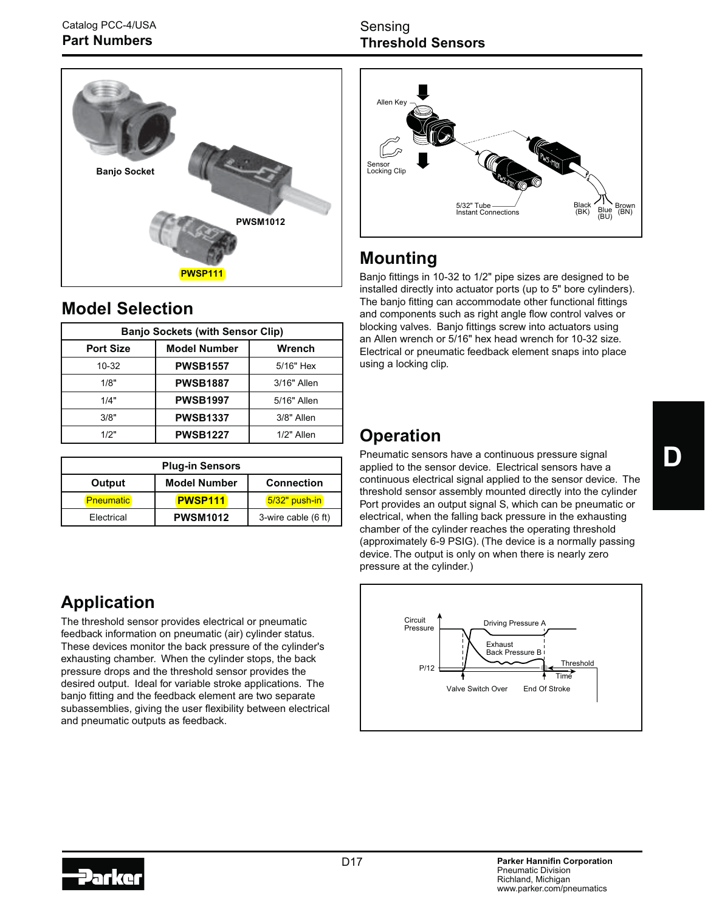

## **Model Selection**

| <b>Banjo Sockets (with Sensor Clip)</b> |                     |               |  |
|-----------------------------------------|---------------------|---------------|--|
| <b>Port Size</b>                        | <b>Model Number</b> | Wrench        |  |
| $10 - 32$                               | <b>PWSB1557</b>     | 5/16" Hex     |  |
| 1/8"                                    | <b>PWSB1887</b>     | $3/16"$ Allen |  |
| 1/4"                                    | <b>PWSB1997</b>     | 5/16" Allen   |  |
| 3/8"                                    | <b>PWSB1337</b>     | 3/8" Allen    |  |
| 1/2"                                    | <b>PWSB1227</b>     | $1/2"$ Allen  |  |

| <b>Plug-in Sensors</b> |                     |                     |  |  |
|------------------------|---------------------|---------------------|--|--|
| Output                 | <b>Model Number</b> | <b>Connection</b>   |  |  |
| <b>Pneumatic</b>       | <b>PWSP111</b>      | $5/32$ " push-in    |  |  |
| Electrical             | <b>PWSM1012</b>     | 3-wire cable (6 ft) |  |  |

# **Application**

The threshold sensor provides electrical or pneumatic feedback information on pneumatic (air) cylinder status. These devices monitor the back pressure of the cylinder's exhausting chamber. When the cylinder stops, the back pressure drops and the threshold sensor provides the desired output. Ideal for variable stroke applications. The banjo fitting and the feedback element are two separate subassemblies, giving the user flexibility between electrical and pneumatic outputs as feedback.

### Sensing **Threshold Sensors**



# **Mounting**

Banjo fittings in 10-32 to 1/2" pipe sizes are designed to be installed directly into actuator ports (up to 5" bore cylinders). The banjo fitting can accommodate other functional fittings and components such as right angle flow control valves or blocking valves. Banjo fittings screw into actuators using an Allen wrench or 5/16" hex head wrench for 10-32 size. Electrical or pneumatic feedback element snaps into place using a locking clip.

# **Operation**

Pneumatic sensors have a continuous pressure signal applied to the sensor device. Electrical sensors have a continuous electrical signal applied to the sensor device. The threshold sensor assembly mounted directly into the cylinder Port provides an output signal S, which can be pneumatic or electrical, when the falling back pressure in the exhausting chamber of the cylinder reaches the operating threshold (approximately 6-9 PSIG). (The device is a normally passing device. The output is only on when there is nearly zero pressure at the cylinder.)